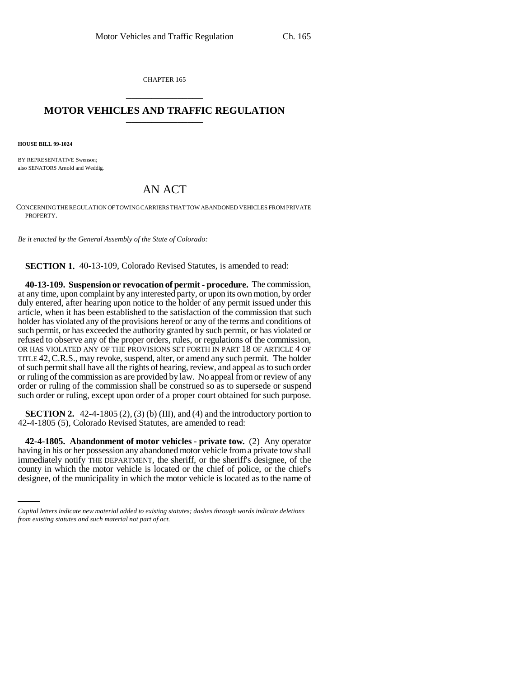CHAPTER 165 \_\_\_\_\_\_\_\_\_\_\_\_\_\_\_

## **MOTOR VEHICLES AND TRAFFIC REGULATION** \_\_\_\_\_\_\_\_\_\_\_\_\_\_\_

**HOUSE BILL 99-1024** 

BY REPRESENTATIVE Swenson; also SENATORS Arnold and Weddig.

## AN ACT

CONCERNING THE REGULATION OF TOWING CARRIERS THAT TOW ABANDONED VEHICLES FROM PRIVATE PROPERTY.

*Be it enacted by the General Assembly of the State of Colorado:*

**SECTION 1.** 40-13-109, Colorado Revised Statutes, is amended to read:

**40-13-109. Suspension or revocation of permit - procedure.** The commission, at any time, upon complaint by any interested party, or upon its own motion, by order duly entered, after hearing upon notice to the holder of any permit issued under this article, when it has been established to the satisfaction of the commission that such holder has violated any of the provisions hereof or any of the terms and conditions of such permit, or has exceeded the authority granted by such permit, or has violated or refused to observe any of the proper orders, rules, or regulations of the commission, OR HAS VIOLATED ANY OF THE PROVISIONS SET FORTH IN PART 18 OF ARTICLE 4 OF TITLE 42,C.R.S., may revoke, suspend, alter, or amend any such permit. The holder of such permit shall have all the rights of hearing, review, and appeal as to such order or ruling of the commission as are provided by law. No appeal from or review of any order or ruling of the commission shall be construed so as to supersede or suspend such order or ruling, except upon order of a proper court obtained for such purpose.

**SECTION 2.** 42-4-1805 (2), (3) (b) (III), and (4) and the introductory portion to 42-4-1805 (5), Colorado Revised Statutes, are amended to read:

immediately notify THE DEPARTMENT, the sheriff, or the sheriff's designee, of the **42-4-1805. Abandonment of motor vehicles - private tow.** (2) Any operator having in his or her possession any abandoned motor vehicle from a private tow shall county in which the motor vehicle is located or the chief of police, or the chief's designee, of the municipality in which the motor vehicle is located as to the name of

*Capital letters indicate new material added to existing statutes; dashes through words indicate deletions from existing statutes and such material not part of act.*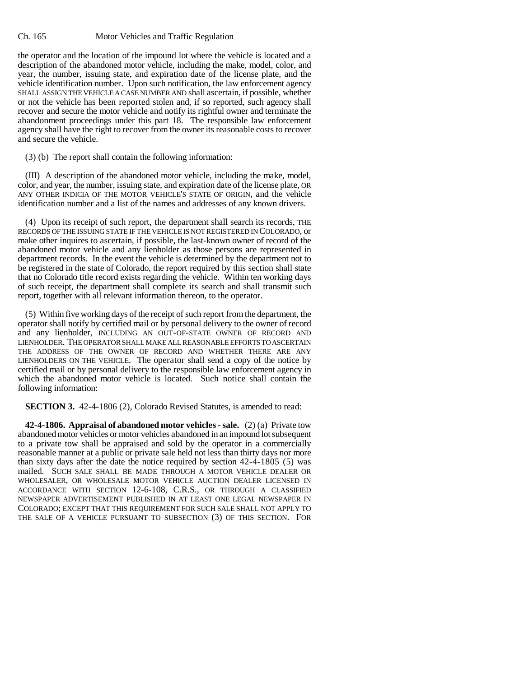## Ch. 165 Motor Vehicles and Traffic Regulation

the operator and the location of the impound lot where the vehicle is located and a description of the abandoned motor vehicle, including the make, model, color, and year, the number, issuing state, and expiration date of the license plate, and the vehicle identification number. Upon such notification, the law enforcement agency SHALL ASSIGN THE VEHICLE A CASE NUMBER AND shall ascertain, if possible, whether or not the vehicle has been reported stolen and, if so reported, such agency shall recover and secure the motor vehicle and notify its rightful owner and terminate the abandonment proceedings under this part 18. The responsible law enforcement agency shall have the right to recover from the owner its reasonable costs to recover and secure the vehicle.

(3) (b) The report shall contain the following information:

(III) A description of the abandoned motor vehicle, including the make, model, color, and year, the number, issuing state, and expiration date of the license plate, OR ANY OTHER INDICIA OF THE MOTOR VEHICLE'S STATE OF ORIGIN, and the vehicle identification number and a list of the names and addresses of any known drivers.

(4) Upon its receipt of such report, the department shall search its records, THE RECORDS OF THE ISSUING STATE IF THE VEHICLE IS NOT REGISTERED IN COLORADO, or make other inquires to ascertain, if possible, the last-known owner of record of the abandoned motor vehicle and any lienholder as those persons are represented in department records. In the event the vehicle is determined by the department not to be registered in the state of Colorado, the report required by this section shall state that no Colorado title record exists regarding the vehicle. Within ten working days of such receipt, the department shall complete its search and shall transmit such report, together with all relevant information thereon, to the operator.

(5) Within five working days of the receipt of such report from the department, the operator shall notify by certified mail or by personal delivery to the owner of record and any lienholder, INCLUDING AN OUT-OF-STATE OWNER OF RECORD AND LIENHOLDER. THE OPERATOR SHALL MAKE ALL REASONABLE EFFORTS TO ASCERTAIN THE ADDRESS OF THE OWNER OF RECORD AND WHETHER THERE ARE ANY LIENHOLDERS ON THE VEHICLE. The operator shall send a copy of the notice by certified mail or by personal delivery to the responsible law enforcement agency in which the abandoned motor vehicle is located. Such notice shall contain the following information:

**SECTION 3.** 42-4-1806 (2), Colorado Revised Statutes, is amended to read:

**42-4-1806. Appraisal of abandoned motor vehicles - sale.** (2) (a) Private tow abandoned motor vehicles or motor vehicles abandoned in an impound lot subsequent to a private tow shall be appraised and sold by the operator in a commercially reasonable manner at a public or private sale held not less than thirty days nor more than sixty days after the date the notice required by section 42-4-1805 (5) was mailed. SUCH SALE SHALL BE MADE THROUGH A MOTOR VEHICLE DEALER OR WHOLESALER, OR WHOLESALE MOTOR VEHICLE AUCTION DEALER LICENSED IN ACCORDANCE WITH SECTION 12-6-108, C.R.S., OR THROUGH A CLASSIFIED NEWSPAPER ADVERTISEMENT PUBLISHED IN AT LEAST ONE LEGAL NEWSPAPER IN COLORADO; EXCEPT THAT THIS REQUIREMENT FOR SUCH SALE SHALL NOT APPLY TO THE SALE OF A VEHICLE PURSUANT TO SUBSECTION (3) OF THIS SECTION. FOR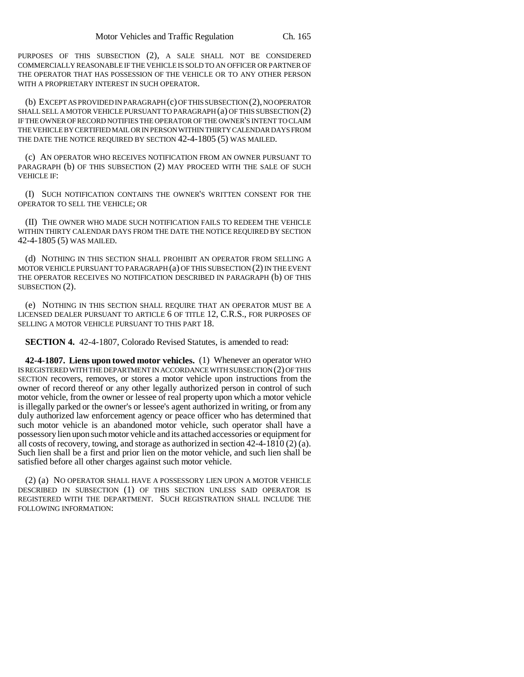PURPOSES OF THIS SUBSECTION (2), A SALE SHALL NOT BE CONSIDERED COMMERCIALLY REASONABLE IF THE VEHICLE IS SOLD TO AN OFFICER OR PARTNER OF THE OPERATOR THAT HAS POSSESSION OF THE VEHICLE OR TO ANY OTHER PERSON WITH A PROPRIETARY INTEREST IN SUCH OPERATOR.

(b) EXCEPT AS PROVIDED IN PARAGRAPH (c) OF THIS SUBSECTION (2), NO OPERATOR SHALL SELL A MOTOR VEHICLE PURSUANT TO PARAGRAPH (a) OF THIS SUBSECTION (2) IF THE OWNER OF RECORD NOTIFIES THE OPERATOR OF THE OWNER'S INTENT TO CLAIM THE VEHICLE BY CERTIFIED MAIL OR IN PERSON WITHIN THIRTY CALENDAR DAYS FROM THE DATE THE NOTICE REQUIRED BY SECTION 42-4-1805 (5) WAS MAILED.

(c) AN OPERATOR WHO RECEIVES NOTIFICATION FROM AN OWNER PURSUANT TO PARAGRAPH (b) OF THIS SUBSECTION (2) MAY PROCEED WITH THE SALE OF SUCH VEHICLE IF:

(I) SUCH NOTIFICATION CONTAINS THE OWNER'S WRITTEN CONSENT FOR THE OPERATOR TO SELL THE VEHICLE; OR

(II) THE OWNER WHO MADE SUCH NOTIFICATION FAILS TO REDEEM THE VEHICLE WITHIN THIRTY CALENDAR DAYS FROM THE DATE THE NOTICE REQUIRED BY SECTION 42-4-1805 (5) WAS MAILED.

(d) NOTHING IN THIS SECTION SHALL PROHIBIT AN OPERATOR FROM SELLING A MOTOR VEHICLE PURSUANT TO PARAGRAPH (a) OF THIS SUBSECTION (2) IN THE EVENT THE OPERATOR RECEIVES NO NOTIFICATION DESCRIBED IN PARAGRAPH (b) OF THIS SUBSECTION (2).

(e) NOTHING IN THIS SECTION SHALL REQUIRE THAT AN OPERATOR MUST BE A LICENSED DEALER PURSUANT TO ARTICLE 6 OF TITLE 12, C.R.S., FOR PURPOSES OF SELLING A MOTOR VEHICLE PURSUANT TO THIS PART 18.

**SECTION 4.** 42-4-1807, Colorado Revised Statutes, is amended to read:

**42-4-1807. Liens upon towed motor vehicles.** (1) Whenever an operator WHO IS REGISTERED WITH THE DEPARTMENT IN ACCORDANCE WITH SUBSECTION (2) OF THIS SECTION recovers, removes, or stores a motor vehicle upon instructions from the owner of record thereof or any other legally authorized person in control of such motor vehicle, from the owner or lessee of real property upon which a motor vehicle is illegally parked or the owner's or lessee's agent authorized in writing, or from any duly authorized law enforcement agency or peace officer who has determined that such motor vehicle is an abandoned motor vehicle, such operator shall have a possessory lien upon such motor vehicle and its attached accessories or equipment for all costs of recovery, towing, and storage as authorized in section  $42-4-1810(2)$  (a). Such lien shall be a first and prior lien on the motor vehicle, and such lien shall be satisfied before all other charges against such motor vehicle.

(2) (a) NO OPERATOR SHALL HAVE A POSSESSORY LIEN UPON A MOTOR VEHICLE DESCRIBED IN SUBSECTION (1) OF THIS SECTION UNLESS SAID OPERATOR IS REGISTERED WITH THE DEPARTMENT. SUCH REGISTRATION SHALL INCLUDE THE FOLLOWING INFORMATION: